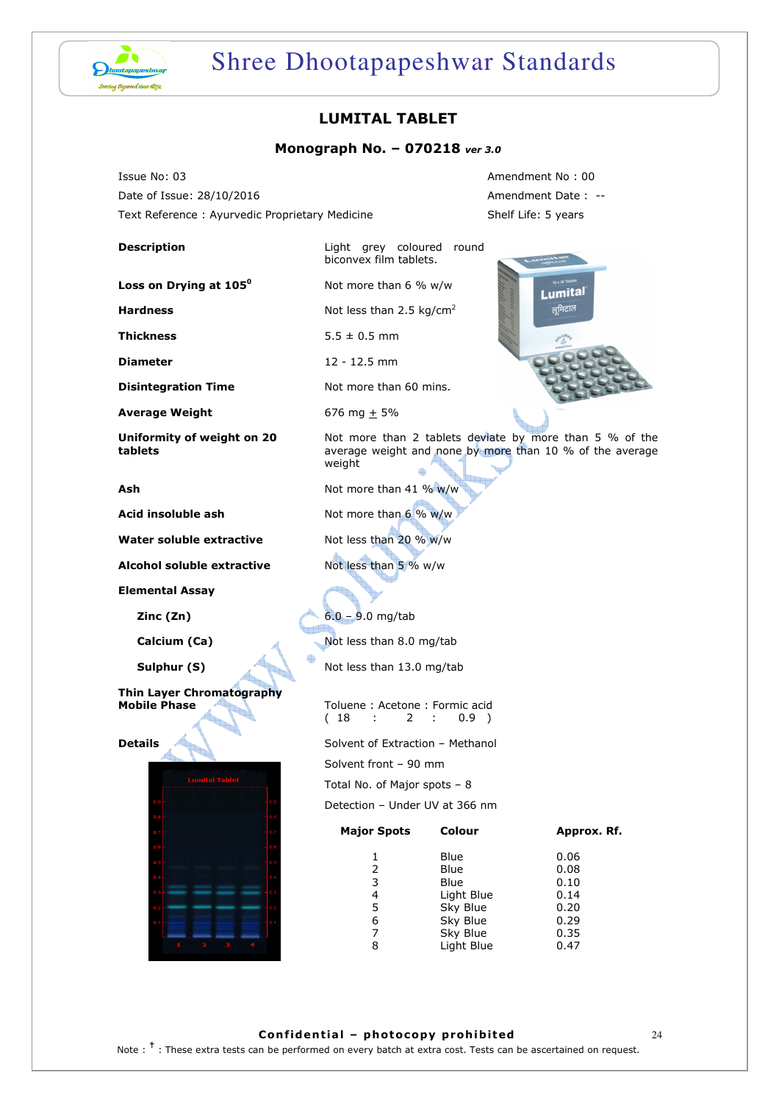

## Shree Dhootapapeshwar Standards

## LUMITAL TABLET

#### Monograph No. – 070218 ver 3.0

biconvex film tablets.

Not more than 6 % w/w

Issue No: 03 Amendment No : 00 Date of Issue: 28/10/2016 **Amendment Date : --**Text Reference : Ayurvedic Proprietary Medicine Shelf Life: 5 years

#### **Description Light grey coloured round**

Loss on Drying at 105<sup>°</sup>

**Hardness**  $N$  Not less than 2.5 kg/cm<sup>2</sup>

**Thickness**  $5.5 \pm 0.5$  mm

**Diameter** 12 - 12.5 mm

**Disintegration Time** Not more than 60 mins.

**Average Weight** 676 mg  $\pm$  5%

Uniformity of weight on 20 tablets

**Water soluble extractive** Not less than 20  $\%$  w/w

Alcohol soluble extractive Mot less than 5 % w/w

Elemental Assay

Thin Layer Chromatography

Details





Not more than 2 tablets deviate by more than 5 % of the average weight and none by more than 10 % of the average weight

Ash Not more than 41 % w/w

Acid insoluble ash  $N$  Not more than 6 % w/w

**Zinc (Zn)** 6.0 – 9.0 mg/tab

Calcium (Ca) Not less than 8.0 mg/tab

Sulphur (S) Not less than 13.0 mg/tab

Mobile Phase Toluene : Acetone : Formic acid ( 18 : 2 : 0.9 )

Solvent of Extraction – Methanol

Solvent front – 90 mm

Total No. of Major spots – 8

Detection – Under UV at 366 nm

| <b>Major Spots</b> | Colour     | Approx. Rf. |
|--------------------|------------|-------------|
|                    | Blue       | 0.06        |
| 2                  | Blue       | 0.08        |
| 3                  | Blue       | 0.10        |
| 4                  | Light Blue | 0.14        |
| 5                  | Sky Blue   | 0.20        |
| 6                  | Sky Blue   | 0.29        |
| 7                  | Sky Blue   | 0.35        |
| 8                  | Light Blue | 0.47        |